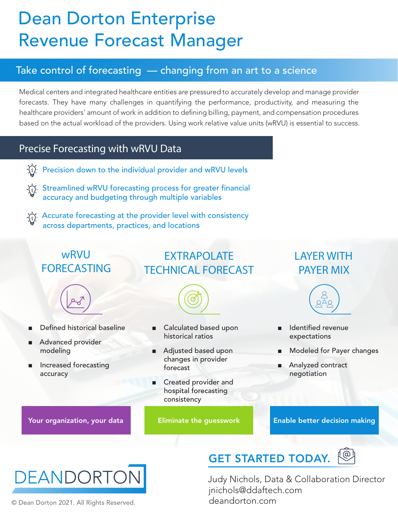## Dean Dorton Enterprise Revenue Forecast Manager

### Take control of forecasting — changing from an art to a science

Medical centers and integrated healthcare entities are pressured to accurately develop and manage provider forecasts. They have many challenges in quantifying the performance, productivity, and measuring the healthcare providers' amount of work in addition to defining billing, payment, and compensation procedures based on the actual workload of the providers. Using work relative value units (wRVU) is essential to success.

### Precise Forecasting with wRVU Data

- Precision down to the individual provider and wRVU levels
- Streamlined wRVU forecasting process for greater financial accuracy and budgeting through multiple variables
- $\langle \cdot \rangle$ . Accurate forecasting at the provider level with consistency across departments, practices, and locations

### wRVU FORECASTING

- 
- Defined historical baseline
- Advanced provider modeling
- Increased forecasting accuracy

### EXTRAPOLATE TECHNICAL FORECAST



- Calculated based upon historical ratios
- Adjusted based upon changes in provider forecast
- Created provider and hospital forecasting consistency

### LAYER WITH PAYER MIX



- Identified revenue expectations
- Modeled for Payer changes
- Analyzed contract negotiation

Your organization, your data **Eliminate the guesswork Enable better decision making** 



© Dean Dorton 2021. All Rights Reserved.

## GET STARTED TODAY.



Judy Nichols, Data & Collaboration Director jnichols@ddaftech.com deandorton.com